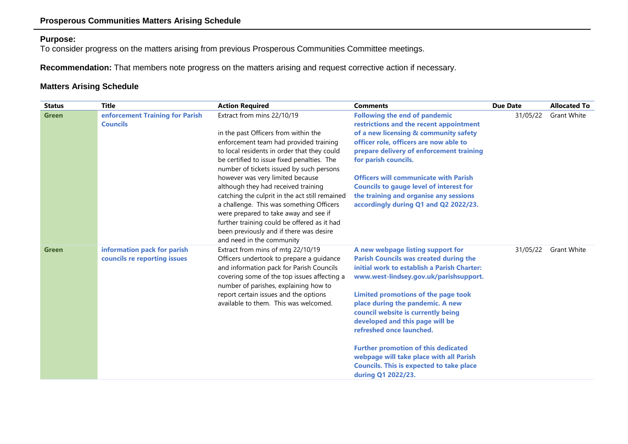## **Purpose:**

To consider progress on the matters arising from previous Prosperous Communities Committee meetings.

**Recommendation:** That members note progress on the matters arising and request corrective action if necessary.

## **Matters Arising Schedule**

| <b>Status</b> | <b>Title</b>                                                | <b>Action Required</b>                                                                                                                                                                                                                                                                                                                                                                                                                                                                                                                                                                         | <b>Comments</b>                                                                                                                                                                                                                                                                                                                                                                                                                                                                                                               | <b>Due Date</b> | <b>Allocated To</b> |
|---------------|-------------------------------------------------------------|------------------------------------------------------------------------------------------------------------------------------------------------------------------------------------------------------------------------------------------------------------------------------------------------------------------------------------------------------------------------------------------------------------------------------------------------------------------------------------------------------------------------------------------------------------------------------------------------|-------------------------------------------------------------------------------------------------------------------------------------------------------------------------------------------------------------------------------------------------------------------------------------------------------------------------------------------------------------------------------------------------------------------------------------------------------------------------------------------------------------------------------|-----------------|---------------------|
| <b>Green</b>  | enforcement Training for Parish<br><b>Councils</b>          | Extract from mins 22/10/19<br>in the past Officers from within the<br>enforcement team had provided training<br>to local residents in order that they could<br>be certified to issue fixed penalties. The<br>number of tickets issued by such persons<br>however was very limited because<br>although they had received training<br>catching the culprit in the act still remained<br>a challenge. This was something Officers<br>were prepared to take away and see if<br>further training could be offered as it had<br>been previously and if there was desire<br>and need in the community | <b>Following the end of pandemic</b><br>restrictions and the recent appointment<br>of a new licensing & community safety<br>officer role, officers are now able to<br>prepare delivery of enforcement training<br>for parish councils.<br><b>Officers will communicate with Parish</b><br><b>Councils to gauge level of interest for</b><br>the training and organise any sessions<br>accordingly during Q1 and Q2 2022/23.                                                                                                   | 31/05/22        | <b>Grant White</b>  |
| <b>Green</b>  | information pack for parish<br>councils re reporting issues | Extract from mins of mtg 22/10/19<br>Officers undertook to prepare a guidance<br>and information pack for Parish Councils<br>covering some of the top issues affecting a<br>number of parishes, explaining how to<br>report certain issues and the options<br>available to them. This was welcomed.                                                                                                                                                                                                                                                                                            | A new webpage listing support for<br><b>Parish Councils was created during the</b><br>initial work to establish a Parish Charter:<br>www.west-lindsey.gov.uk/parishsupport.<br>Limited promotions of the page took<br>place during the pandemic. A new<br>council website is currently being<br>developed and this page will be<br>refreshed once launched.<br><b>Further promotion of this dedicated</b><br>webpage will take place with all Parish<br><b>Councils. This is expected to take place</b><br>during Q1 2022/23. | 31/05/22        | <b>Grant White</b>  |